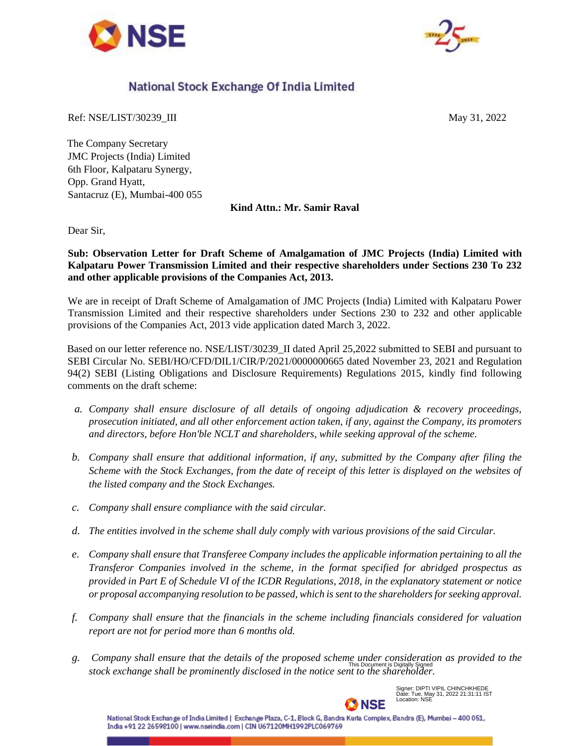



## National Stock Exchange Of India Limited

Ref: NSE/LIST/30239\_III May 31, 2022

The Company Secretary JMC Projects (India) Limited 6th Floor, Kalpataru Synergy, Opp. Grand Hyatt, Santacruz (E), Mumbai-400 055

**Kind Attn.: Mr. Samir Raval**

Dear Sir,

**Sub: Observation Letter for Draft Scheme of Amalgamation of JMC Projects (India) Limited with Kalpataru Power Transmission Limited and their respective shareholders under Sections 230 To 232 and other applicable provisions of the Companies Act, 2013.**

We are in receipt of Draft Scheme of Amalgamation of JMC Projects (India) Limited with Kalpataru Power Transmission Limited and their respective shareholders under Sections 230 to 232 and other applicable provisions of the Companies Act, 2013 vide application dated March 3, 2022.

Based on our letter reference no. NSE/LIST/30239\_II dated April 25,2022 submitted to SEBI and pursuant to SEBI Circular No. SEBI/HO/CFD/DIL1/CIR/P/2021/0000000665 dated November 23, 2021 and Regulation 94(2) SEBI (Listing Obligations and Disclosure Requirements) Regulations 2015, kindly find following comments on the draft scheme:

- *a. Company shall ensure disclosure of all details of ongoing adjudication & recovery proceedings, prosecution initiated, and all other enforcement action taken, if any, against the Company, its promoters and directors, before Hon'ble NCLT and shareholders, while seeking approval of the scheme.*
- *b. Company shall ensure that additional information, if any, submitted by the Company after filing the Scheme with the Stock Exchanges, from the date of receipt of this letter is displayed on the websites of the listed company and the Stock Exchanges.*
- *c. Company shall ensure compliance with the said circular.*
- *d. The entities involved in the scheme shall duly comply with various provisions of the said Circular.*
- *e. Company shall ensure that Transferee Company includes the applicable information pertaining to all the Transferor Companies involved in the scheme, in the format specified for abridged prospectus as provided in Part E of Schedule VI of the ICDR Regulations, 2018, in the explanatory statement or notice or proposal accompanying resolution to be passed, which is sent to the shareholders for seeking approval.*
- *f. Company shall ensure that the financials in the scheme including financials considered for valuation report are not for period more than 6 months old.*
- *g. Company shall ensure that the details of the proposed scheme under consideration as provided to the stock exchange shall be prominently disclosed in the notice sent to the shareholder.* This Document is Digitally Signed



Signer: DIPTI VIPIL CHINCHKHEDE Date: Tue, May 31, 2022 21:31:11 IST Location: NSE

National Stock Exchange of India Limited | Exchange Plaza, C-1, Block G, Bandra Kurla Complex, Bandra (E), Mumbai – 400 051, India +91 22 26598100 | www.nseindia.com | CIN U67120MH1992PLC069769